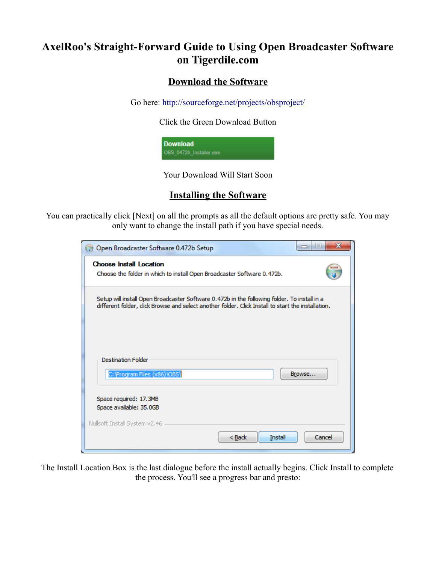# **AxelRoo's Straight-Forward Guide to Using Open Broadcaster Software on Tigerdile.com**

#### **Download the Software**

Go here:<http://sourceforge.net/projects/obsproject/>

Click the Green Download Button

**Download** OBS\_0472b\_Installer.exe

Your Download Will Start Soon

### **Installing the Software**

You can practically click [Next] on all the prompts as all the default options are pretty safe. You may only want to change the install path if you have special needs.

| Open Broadcaster Software 0.472b Setup                                                                                                                                                            | x<br>$\blacksquare$<br>$\Box$ |
|---------------------------------------------------------------------------------------------------------------------------------------------------------------------------------------------------|-------------------------------|
| <b>Choose Install Location</b><br>Choose the folder in which to install Open Broadcaster Software 0.472b.                                                                                         |                               |
| Setup will install Open Broadcaster Software 0.472b in the following folder. To install in a<br>different folder, dick Browse and select another folder. Click Install to start the installation. |                               |
| <b>Destination Folder</b><br>C: \Program Files (x86)\OBS\                                                                                                                                         | Browse                        |
| Space required: 17.3MB<br>Space available: 35.0GB                                                                                                                                                 |                               |
| Nullsoft Install System v2.46<br>$Back$<br>Install                                                                                                                                                | Cancel                        |

The Install Location Box is the last dialogue before the install actually begins. Click Install to complete the process. You'll see a progress bar and presto: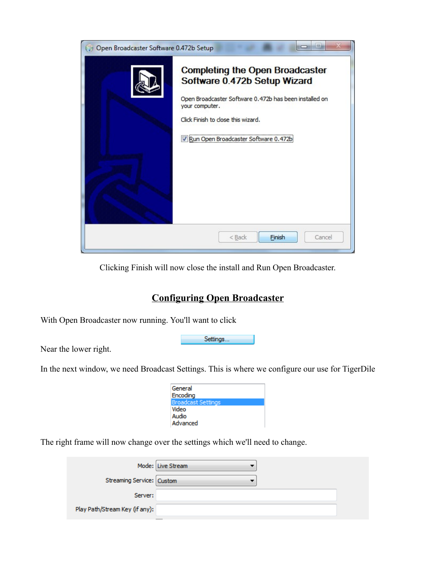

Clicking Finish will now close the install and Run Open Broadcaster.

### **Configuring Open Broadcaster**

Settings...

With Open Broadcaster now running. You'll want to click

Near the lower right.

In the next window, we need Broadcast Settings. This is where we configure our use for TigerDile

| General            |
|--------------------|
| Encoding           |
| Broadcast Settings |
| Video              |
| Audio              |
| Advanced           |
|                    |

The right frame will now change over the settings which we'll need to change.

|                                | Mode: Live Stream |  |
|--------------------------------|-------------------|--|
| Streaming Service: Custom      |                   |  |
| Server:                        |                   |  |
| Play Path/Stream Key (if any): |                   |  |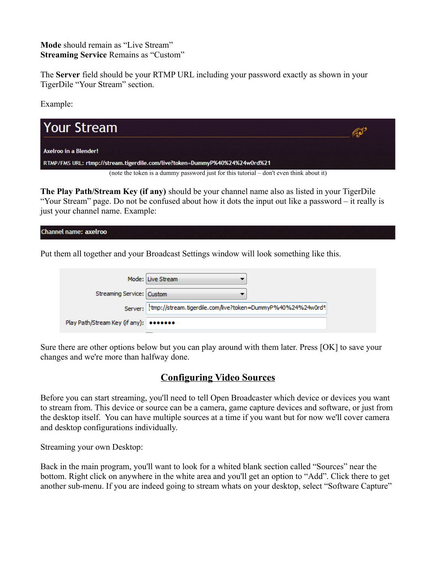**Mode** should remain as "Live Stream" **Streaming Service** Remains as "Custom"

The **Server** field should be your RTMP URL including your password exactly as shown in your TigerDile "Your Stream" section.

Example:



**The Play Path/Stream Key (if any)** should be your channel name also as listed in your TigerDile "Your Stream" page. Do not be confused about how it dots the input out like a password – it really is just your channel name. Example:

**Channel name: axelroo** 

Put them all together and your Broadcast Settings window will look something like this.

|                                        | Mode: Live Stream                                                  |
|----------------------------------------|--------------------------------------------------------------------|
| Streaming Service: Custom              |                                                                    |
|                                        | Server: tmp://stream.tigerdile.com/live?token=DummyP%40%24%24w0rd9 |
| Play Path/Stream Key (if any): ••••••• |                                                                    |

Sure there are other options below but you can play around with them later. Press [OK] to save your changes and we're more than halfway done.

#### **Configuring Video Sources**

Before you can start streaming, you'll need to tell Open Broadcaster which device or devices you want to stream from. This device or source can be a camera, game capture devices and software, or just from the desktop itself. You can have multiple sources at a time if you want but for now we'll cover camera and desktop configurations individually.

Streaming your own Desktop:

Back in the main program, you'll want to look for a whited blank section called "Sources" near the bottom. Right click on anywhere in the white area and you'll get an option to "Add". Click there to get another sub-menu. If you are indeed going to stream whats on your desktop, select "Software Capture"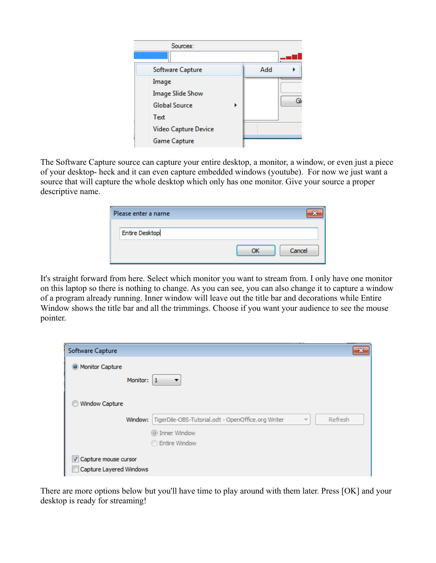

The Software Capture source can capture your entire desktop, a monitor, a window, or even just a piece of your desktop- heck and it can even capture embedded windows (youtube). For now we just want a source that will capture the whole desktop which only has one monitor. Give your source a proper descriptive name.

| Please enter a name   |        |
|-----------------------|--------|
| <b>Entire Desktop</b> |        |
|                       | Cancel |

It's straight forward from here. Select which monitor you want to stream from. I only have one monitor on this laptop so there is nothing to change. As you can see, you can also change it to capture a window of a program already running. Inner window will leave out the title bar and decorations while Entire Window shows the title bar and all the trimmings. Choose if you want your audience to see the mouse pointer.

| Software Capture                                |                                                                             |   | $\mathbf{x}$ |
|-------------------------------------------------|-----------------------------------------------------------------------------|---|--------------|
| O Monitor Capture<br>Monitor:                   | $\vert$ 1                                                                   |   |              |
| Window Capture<br>Window:                       | TigerDile-OBS-Tutorial.odt - OpenOffice.org Writer<br><b>O</b> Inner Window | ÷ | Refresh      |
|                                                 | <b>Entire Window</b>                                                        |   |              |
| Capture mouse cursor<br>Capture Layered Windows |                                                                             |   |              |

There are more options below but you'll have time to play around with them later. Press [OK] and your desktop is ready for streaming!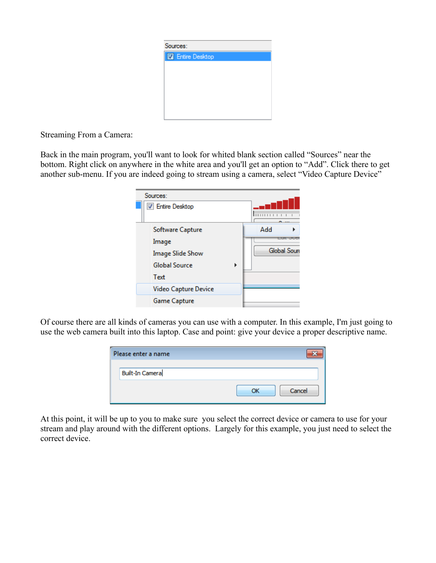

Streaming From a Camera:

Back in the main program, you'll want to look for whited blank section called "Sources" near the bottom. Right click on anywhere in the white area and you'll get an option to "Add". Click there to get another sub-menu. If you are indeed going to stream using a camera, select "Video Capture Device"

| Sources:                |   |             |
|-------------------------|---|-------------|
| <b>V</b> Entire Desktop |   |             |
|                         |   | 111111      |
| Software Capture        |   | Add         |
| Image                   |   |             |
| <b>Image Slide Show</b> |   | Global Sour |
| <b>Global Source</b>    | Þ |             |
| Text                    |   |             |
| Video Capture Device    |   |             |
| Game Capture            |   |             |
|                         |   |             |

Of course there are all kinds of cameras you can use with a computer. In this example, I'm just going to use the web camera built into this laptop. Case and point: give your device a proper descriptive name.

| Please enter a name    |              |
|------------------------|--------------|
| <b>Built-In Camera</b> |              |
|                        | Cancel<br>ΩK |

At this point, it will be up to you to make sure you select the correct device or camera to use for your stream and play around with the different options. Largely for this example, you just need to select the correct device.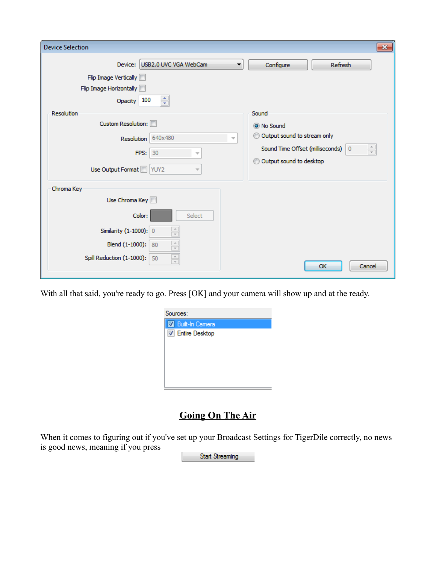| <b>Device Selection</b>                                                                                                                      | $\mathbf{x}$                                                         |
|----------------------------------------------------------------------------------------------------------------------------------------------|----------------------------------------------------------------------|
| Device: USB2.0 UVC VGA WebCam<br>▼                                                                                                           | Configure<br><b>Refresh</b>                                          |
| Flip Image Vertically                                                                                                                        |                                                                      |
| Flip Image Horizontally                                                                                                                      |                                                                      |
| ÷<br>Opacity 100                                                                                                                             |                                                                      |
| Resolution                                                                                                                                   | Sound                                                                |
| Custom Resolution:                                                                                                                           | O No Sound                                                           |
| 640x480<br><b>Resolution</b><br>$\overline{\phantom{a}}$                                                                                     | Output sound to stream only<br>⊙                                     |
| FPS:<br>30<br>$\overline{\phantom{a}}$                                                                                                       | $\frac{1}{\sqrt{2}}$<br>Sound Time Offset (milliseconds)<br>$\bf{0}$ |
|                                                                                                                                              | Output sound to desktop<br>⊙                                         |
| Use Output Format VUY2                                                                                                                       |                                                                      |
| Chroma Key                                                                                                                                   |                                                                      |
| Use Chroma Key                                                                                                                               |                                                                      |
| Color:<br>Select                                                                                                                             |                                                                      |
| $\frac{\triangle}{\pi}$<br>Similarity (1-1000): 0                                                                                            |                                                                      |
| $\begin{array}{ c } \hline \hspace{.1cm} \bot \hspace{.1cm} \\ \hline \hspace{.1cm} \top \hspace{.1cm} \end{array}$<br>Blend (1-1000):<br>80 |                                                                      |
| $\frac{\triangle}{\tau}$<br>Spill Reduction (1-1000):<br>50                                                                                  |                                                                      |
|                                                                                                                                              | OK<br>Cancel                                                         |

With all that said, you're ready to go. Press [OK] and your camera will show up and at the ready.

| Sources:                |  |
|-------------------------|--|
| <b>Built-In Camera</b>  |  |
| <b>V</b> Entire Desktop |  |
|                         |  |
|                         |  |
|                         |  |
|                         |  |
|                         |  |

## **Going On The Air**

When it comes to figuring out if you've set up your Broadcast Settings for TigerDile correctly, no news is good news, meaning if you press

Start Streaming